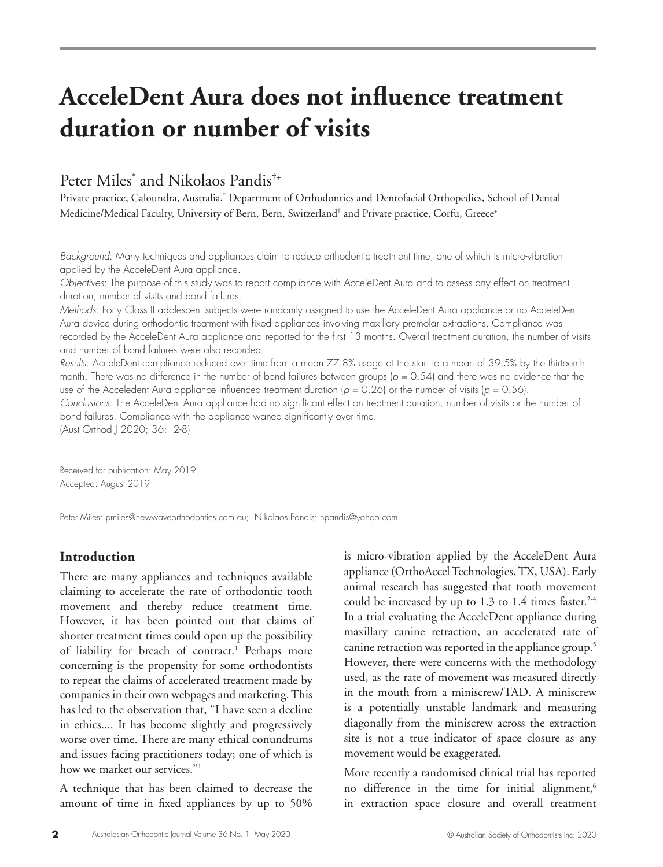# **AcceleDent Aura does not influence treatment duration or number of visits**

## Peter Miles\* and Nikolaos Pandis†+

Private practice, Caloundra, Australia,\* Department of Orthodontics and Dentofacial Orthopedics, School of Dental Medicine/Medical Faculty, University of Bern, Bern, Switzerland† and Private practice, Corfu, Greece+

*Background*: Many techniques and appliances claim to reduce orthodontic treatment time, one of which is micro-vibration applied by the AcceleDent Aura appliance.

*Objectives*: The purpose of this study was to report compliance with AcceleDent Aura and to assess any effect on treatment duration, number of visits and bond failures.

*Methods*: Forty Class II adolescent subjects were randomly assigned to use the AcceleDent Aura appliance or no AcceleDent Aura device during orthodontic treatment with fixed appliances involving maxillary premolar extractions. Compliance was recorded by the AcceleDent Aura appliance and reported for the first 13 months. Overall treatment duration, the number of visits and number of bond failures were also recorded.

*Results*: AcceleDent compliance reduced over time from a mean 77.8% usage at the start to a mean of 39.5% by the thirteenth month. There was no difference in the number of bond failures between groups ( $p = 0.54$ ) and there was no evidence that the use of the Acceledent Aura appliance influenced treatment duration  $(p = 0.26)$  or the number of visits  $(p = 0.56)$ .

*Conclusions*: The AcceleDent Aura appliance had no significant effect on treatment duration, number of visits or the number of bond failures. Compliance with the appliance waned significantly over time.

(Aust Orthod J 2020; 36: 2-8)

Received for publication: May 2019 Accepted: August 2019

Peter Miles: pmiles@newwaveorthodontics.com.au; Nikolaos Pandis: npandis@yahoo.com

## **Introduction**

There are many appliances and techniques available claiming to accelerate the rate of orthodontic tooth movement and thereby reduce treatment time. However, it has been pointed out that claims of shorter treatment times could open up the possibility of liability for breach of contract.<sup>1</sup> Perhaps more concerning is the propensity for some orthodontists to repeat the claims of accelerated treatment made by companies in their own webpages and marketing. This has led to the observation that, "I have seen a decline in ethics.... It has become slightly and progressively worse over time. There are many ethical conundrums and issues facing practitioners today; one of which is how we market our services."<sup>1</sup>

A technique that has been claimed to decrease the amount of time in fixed appliances by up to 50%

is micro-vibration applied by the AcceleDent Aura appliance (OrthoAccel Technologies, TX, USA). Early animal research has suggested that tooth movement could be increased by up to  $1.3$  to  $1.4$  times faster.<sup>2-4</sup> In a trial evaluating the AcceleDent appliance during maxillary canine retraction, an accelerated rate of canine retraction was reported in the appliance group.5 However, there were concerns with the methodology used, as the rate of movement was measured directly in the mouth from a miniscrew/TAD. A miniscrew is a potentially unstable landmark and measuring diagonally from the miniscrew across the extraction site is not a true indicator of space closure as any movement would be exaggerated.

More recently a randomised clinical trial has reported no difference in the time for initial alignment, $6$ in extraction space closure and overall treatment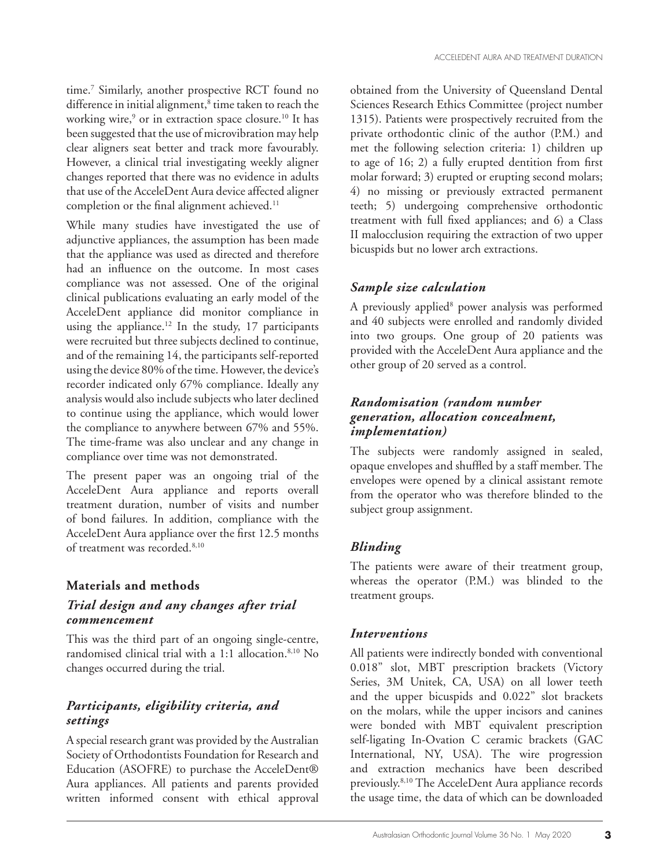time.7 Similarly, another prospective RCT found no difference in initial alignment,<sup>8</sup> time taken to reach the working wire,<sup>9</sup> or in extraction space closure.<sup>10</sup> It has been suggested that the use of microvibration may help clear aligners seat better and track more favourably. However, a clinical trial investigating weekly aligner changes reported that there was no evidence in adults that use of the AcceleDent Aura device affected aligner completion or the final alignment achieved.<sup>11</sup>

While many studies have investigated the use of adjunctive appliances, the assumption has been made that the appliance was used as directed and therefore had an influence on the outcome. In most cases compliance was not assessed. One of the original clinical publications evaluating an early model of the AcceleDent appliance did monitor compliance in using the appliance.<sup>12</sup> In the study,  $17$  participants were recruited but three subjects declined to continue, and of the remaining 14, the participants self-reported using the device 80% of the time. However, the device's recorder indicated only 67% compliance. Ideally any analysis would also include subjects who later declined to continue using the appliance, which would lower the compliance to anywhere between 67% and 55%. The time-frame was also unclear and any change in compliance over time was not demonstrated.

The present paper was an ongoing trial of the AcceleDent Aura appliance and reports overall treatment duration, number of visits and number of bond failures. In addition, compliance with the AcceleDent Aura appliance over the first 12.5 months of treatment was recorded.<sup>8,10</sup>

## **Materials and methods**

## *Trial design and any changes after trial commencement*

This was the third part of an ongoing single-centre, randomised clinical trial with a 1:1 allocation.<sup>8,10</sup> No changes occurred during the trial.

## *Participants, eligibility criteria, and settings*

A special research grant was provided by the Australian Society of Orthodontists Foundation for Research and Education (ASOFRE) to purchase the AcceleDent® Aura appliances. All patients and parents provided written informed consent with ethical approval

obtained from the University of Queensland Dental Sciences Research Ethics Committee (project number 1315). Patients were prospectively recruited from the private orthodontic clinic of the author (P.M.) and met the following selection criteria: 1) children up to age of 16; 2) a fully erupted dentition from first molar forward; 3) erupted or erupting second molars; 4) no missing or previously extracted permanent teeth; 5) undergoing comprehensive orthodontic treatment with full fixed appliances; and 6) a Class II malocclusion requiring the extraction of two upper bicuspids but no lower arch extractions.

## *Sample size calculation*

A previously applied<sup>8</sup> power analysis was performed and 40 subjects were enrolled and randomly divided into two groups. One group of 20 patients was provided with the AcceleDent Aura appliance and the other group of 20 served as a control.

## *Randomisation (random number generation, allocation concealment, implementation)*

The subjects were randomly assigned in sealed, opaque envelopes and shuffled by a staff member. The envelopes were opened by a clinical assistant remote from the operator who was therefore blinded to the subject group assignment.

## *Blinding*

The patients were aware of their treatment group, whereas the operator (P.M.) was blinded to the treatment groups.

## *Interventions*

All patients were indirectly bonded with conventional 0.018" slot, MBT prescription brackets (Victory Series, 3M Unitek, CA, USA) on all lower teeth and the upper bicuspids and 0.022" slot brackets on the molars, while the upper incisors and canines were bonded with MBT equivalent prescription self-ligating In-Ovation C ceramic brackets (GAC International, NY, USA). The wire progression and extraction mechanics have been described previously.8,10 The AcceleDent Aura appliance records the usage time, the data of which can be downloaded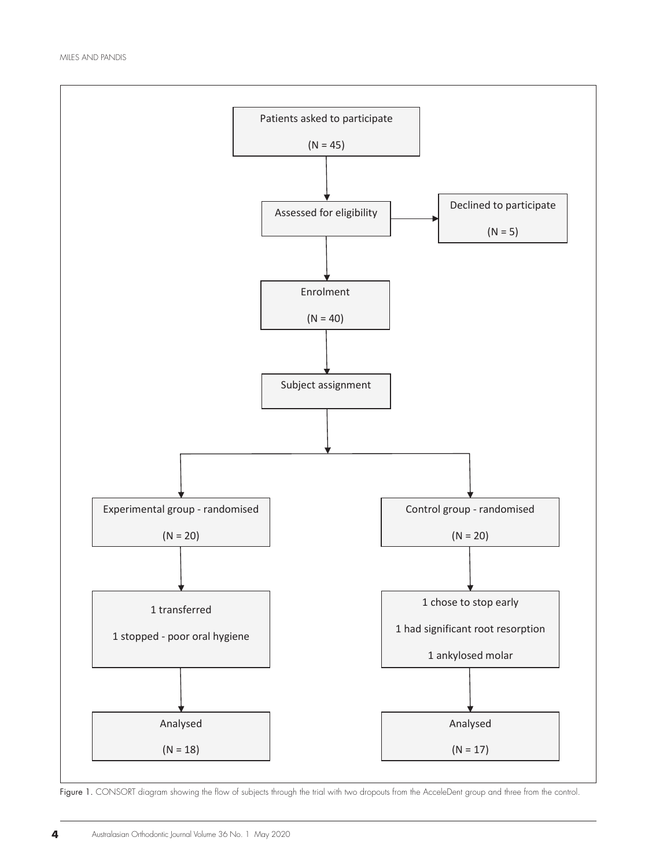

**Figure 1.** CONSORT diagram showing the flow of subjects through the trial with two dropouts from the AcceleDent group and three from the control.<br>-

dropouts from the AcceleDent group and three from the control.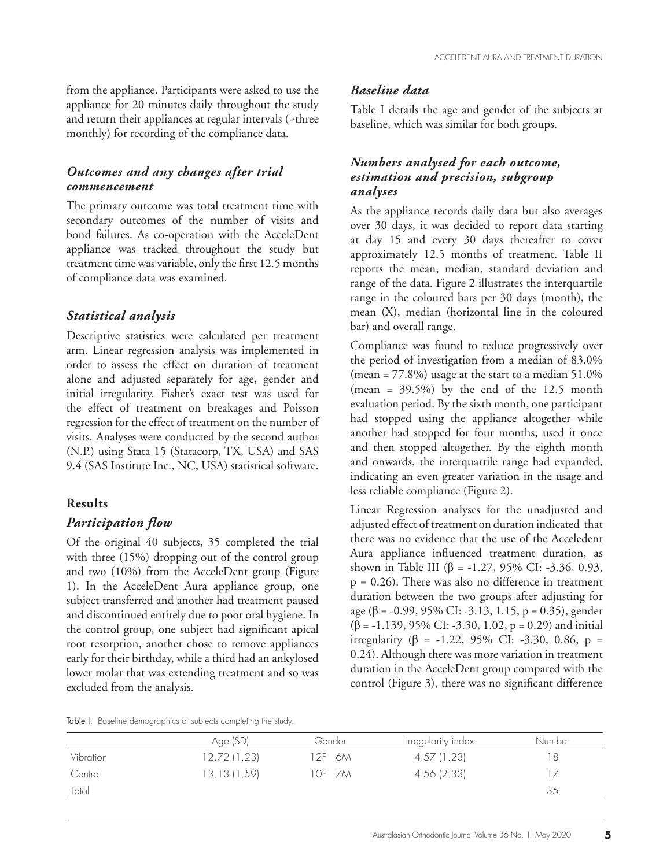from the appliance. Participants were asked to use the appliance for 20 minutes daily throughout the study and return their appliances at regular intervals (~three monthly) for recording of the compliance data.

### *Outcomes and any changes after trial commencement*

The primary outcome was total treatment time with secondary outcomes of the number of visits and bond failures. As co-operation with the AcceleDent appliance was tracked throughout the study but treatment time was variable, only the first 12.5 months of compliance data was examined.

#### *Statistical analysis*

Descriptive statistics were calculated per treatment arm. Linear regression analysis was implemented in order to assess the effect on duration of treatment alone and adjusted separately for age, gender and initial irregularity. Fisher's exact test was used for the effect of treatment on breakages and Poisson regression for the effect of treatment on the number of visits. Analyses were conducted by the second author (N.P.) using Stata 15 (Statacorp, TX, USA) and SAS 9.4 (SAS Institute Inc., NC, USA) statistical software.

#### **Results**

#### *Participation flow*

Of the original 40 subjects, 35 completed the trial with three (15%) dropping out of the control group and two (10%) from the AcceleDent group (Figure 1). In the AcceleDent Aura appliance group, one subject transferred and another had treatment paused and discontinued entirely due to poor oral hygiene. In the control group, one subject had significant apical root resorption, another chose to remove appliances early for their birthday, while a third had an ankylosed lower molar that was extending treatment and so was excluded from the analysis.

#### *Baseline data*

Table I details the age and gender of the subjects at baseline, which was similar for both groups.

## *Numbers analysed for each outcome, estimation and precision, subgroup analyses*

As the appliance records daily data but also averages over 30 days, it was decided to report data starting at day 15 and every 30 days thereafter to cover approximately 12.5 months of treatment. Table II reports the mean, median, standard deviation and range of the data. Figure 2 illustrates the interquartile range in the coloured bars per 30 days (month), the mean (X), median (horizontal line in the coloured bar) and overall range.

Compliance was found to reduce progressively over the period of investigation from a median of 83.0% (mean =  $77.8\%$ ) usage at the start to a median  $51.0\%$ (mean =  $39.5\%$ ) by the end of the 12.5 month evaluation period. By the sixth month, one participant had stopped using the appliance altogether while another had stopped for four months, used it once and then stopped altogether. By the eighth month and onwards, the interquartile range had expanded, indicating an even greater variation in the usage and less reliable compliance (Figure 2).

Linear Regression analyses for the unadjusted and adjusted effect of treatment on duration indicated that there was no evidence that the use of the Acceledent Aura appliance influenced treatment duration, as shown in Table III (β = -1.27, 95% CI: -3.36, 0.93,  $p = 0.26$ . There was also no difference in treatment duration between the two groups after adjusting for age (β = -0.99, 95% CI: -3.13, 1.15, p = 0.35), gender (β = -1.139, 95% CI: -3.30, 1.02, p = 0.29) and initial irregularity (β = -1.22, 95% CI: -3.30, 0.86, p = 0.24). Although there was more variation in treatment duration in the AcceleDent group compared with the control (Figure 3), there was no significant difference

Table I. Baseline demographics of subjects completing the study.

|           | Age (SD)     | Gender | Irregularity index | Number |
|-----------|--------------|--------|--------------------|--------|
| Vibration | 12.72 (1.23) | 12F 6M | 4.57 (1.23)        | 18     |
| Control   | 13.13 (1.59) | 10F 7M | 4.56 (2.33)        |        |
| Total     |              |        |                    | 35     |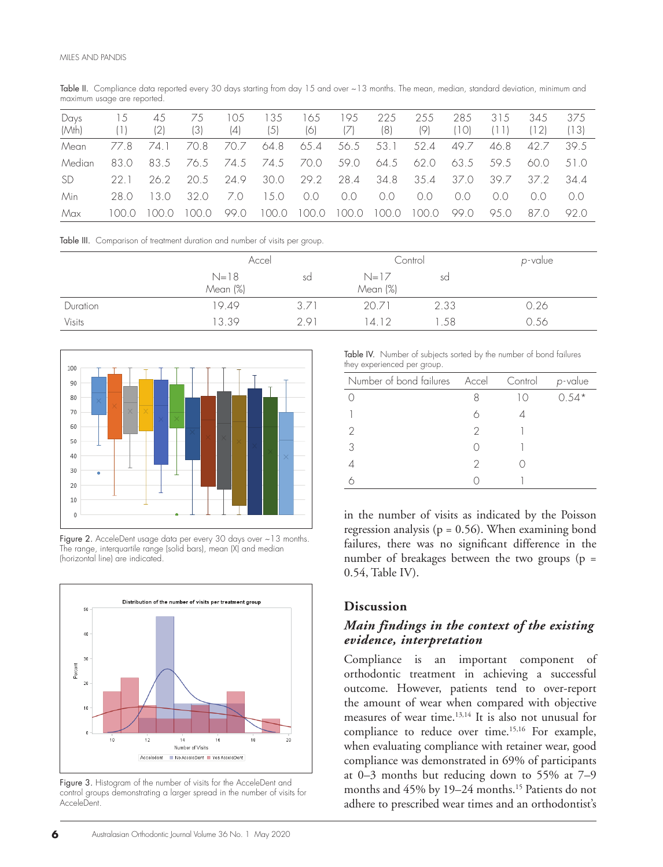Table II. Compliance data reported every 30 days starting from day 15 and over ~13 months. The mean, median, standard deviation, minimum and maximum usage are reported.

| Days<br>(Mth) | 15    | 45<br>(2) | (3)   | (0.5)<br>(4) | 35<br>(5) | 65<br>(6) | 95    | 225<br>(8) | 255<br>(9) | 285<br>, 1 O) . | 315<br>$\Box$ | 345<br>[12] | 375<br>(13)    |
|---------------|-------|-----------|-------|--------------|-----------|-----------|-------|------------|------------|-----------------|---------------|-------------|----------------|
| Mean          | 77.8  | 74. L     | 70.8  | 70.7         | 64.8      | 65.4      | 56.5  | 53.1       | 52.4       | 49.7            | 46.8          | 42.7        | 39.5           |
| Median        | 83.0  | 83.5      | 76.5  | 74.5         | 74.5      | 70.0      | 59.0  | 64.5       | 62.0       | 63.5            | 59.5          | 60.0        | 51.0           |
| <b>SD</b>     | -22-1 | 26.2      | 20.5  | 24.9         | 30.0      | 29.2      | 28.4  | 34.8       | 35.4       | 37.0            | 39.7          | 37.2        | 344            |
| Min           | 28 O  | 130       | 32 O  | 7.O          | 15.0      | 0.0       | 0.0   | 0.0        | $\Omega$   | 00              | 00            | ()()        | 0 <sub>0</sub> |
| Max           |       |           | LOO.O | 99.0         | i 00.0    | 100.0     | 100.0 | 100.0      | 100.0      | 99.0            | 95.0          | 87.0        | 92 O           |

Table III. Comparison of treatment duration and number of visits per group.

|               | Accel                |      | Control            |      | p-value |
|---------------|----------------------|------|--------------------|------|---------|
|               | $N = 18$<br>Mean (%) | sd   | $N=17$<br>Mean (%) | sd   |         |
| Duration      | 19.49                | 3.71 | 20.71              | 2.33 | 0.26    |
| <b>Visits</b> | 13.39                | 291  | 14 12              | .58  | 0.56    |



**Figure 3.** Histogram of the *Acceleration* of the Acceleration of the Acceleration of the Acceleration of the Acceleration of the Acceleration of the Acceleration of the Acceleration of the Acceleration of the Acceleratio Figure 2. AcceleDent usage data per every 30 days over ~13 months. The range, interquartile range (solid bars), mean (X) and median (horizontal line) are indicated.



Figure 3. Histogram of the number of visits for the AcceleDent and control groups demonstrating a larger spread in the number of visits for AcceleDent.

Table IV. Number of subjects sorted by the number of bond failures they experienced per group.

| Number of bond failures Accel |   | Control    | p-value |
|-------------------------------|---|------------|---------|
|                               |   | $\vert$ () | $0.54*$ |
|                               |   |            |         |
| 2                             | 2 |            |         |
| 3                             |   |            |         |
|                               |   |            |         |
|                               |   |            |         |

 $0.54$ , Table IV). in the number of visits as indicated by the Poisson regression analysis ( $p = 0.56$ ). When examining bond failures, there was no significant difference in the number of breakages between the two groups ( $p =$ 

### **Discussion**

## *Main findings in the context of the existing evidence, interpretation*

Compliance is an important component of orthodontic treatment in achieving a successful outcome. However, patients tend to over-report the amount of wear when compared with objective measures of wear time.13,14 It is also not unusual for compliance to reduce over time.<sup>15,16</sup> For example, when evaluating compliance with retainer wear, good compliance was demonstrated in 69% of participants at 0–3 months but reducing down to 55% at 7–9 months and 45% by 19-24 months.<sup>15</sup> Patients do not adhere to prescribed wear times and an orthodontist's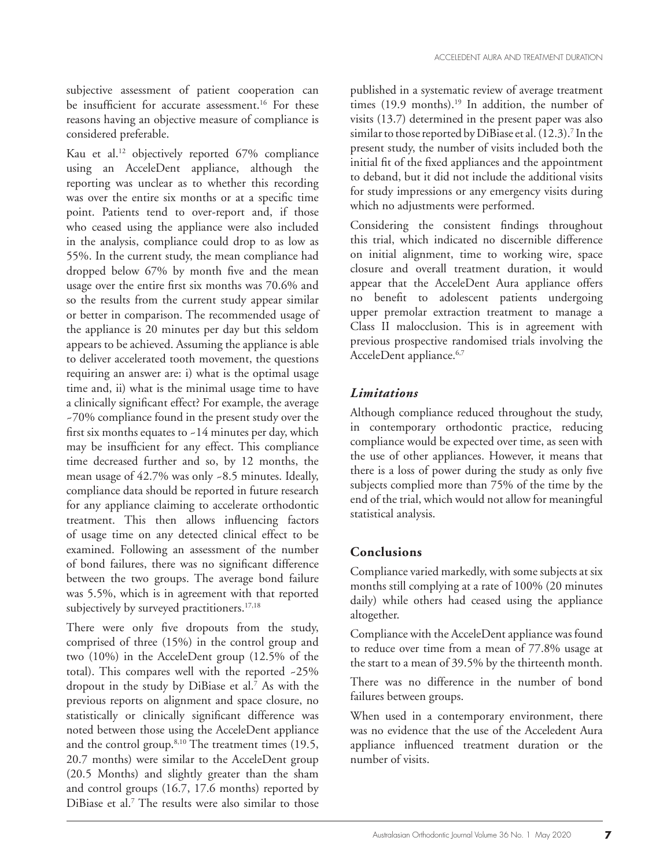subjective assessment of patient cooperation can be insufficient for accurate assessment.<sup>16</sup> For these reasons having an objective measure of compliance is considered preferable.

Kau et al.12 objectively reported 67% compliance using an AcceleDent appliance, although the reporting was unclear as to whether this recording was over the entire six months or at a specific time point. Patients tend to over-report and, if those who ceased using the appliance were also included in the analysis, compliance could drop to as low as 55%. In the current study, the mean compliance had dropped below 67% by month five and the mean usage over the entire first six months was 70.6% and so the results from the current study appear similar or better in comparison. The recommended usage of the appliance is 20 minutes per day but this seldom appears to be achieved. Assuming the appliance is able to deliver accelerated tooth movement, the questions requiring an answer are: i) what is the optimal usage time and, ii) what is the minimal usage time to have a clinically significant effect? For example, the average ~70% compliance found in the present study over the first six months equates to ~14 minutes per day, which may be insufficient for any effect. This compliance time decreased further and so, by 12 months, the mean usage of 42.7% was only ~8.5 minutes. Ideally, compliance data should be reported in future research for any appliance claiming to accelerate orthodontic treatment. This then allows influencing factors of usage time on any detected clinical effect to be examined. Following an assessment of the number of bond failures, there was no significant difference between the two groups. The average bond failure was 5.5%, which is in agreement with that reported subjectively by surveyed practitioners.<sup>17,18</sup>

There were only five dropouts from the study, comprised of three (15%) in the control group and two (10%) in the AcceleDent group (12.5% of the total). This compares well with the reported ~25% dropout in the study by DiBiase et al.7 As with the previous reports on alignment and space closure, no statistically or clinically significant difference was noted between those using the AcceleDent appliance and the control group.<sup>8,10</sup> The treatment times (19.5, 20.7 months) were similar to the AcceleDent group (20.5 Months) and slightly greater than the sham and control groups (16.7, 17.6 months) reported by DiBiase et al.7 The results were also similar to those

published in a systematic review of average treatment times  $(19.9 \text{ months})$ .<sup>19</sup> In addition, the number of visits (13.7) determined in the present paper was also similar to those reported by DiBiase et al. (12.3).<sup>7</sup> In the present study, the number of visits included both the initial fit of the fixed appliances and the appointment to deband, but it did not include the additional visits for study impressions or any emergency visits during which no adjustments were performed.

Considering the consistent findings throughout this trial, which indicated no discernible difference on initial alignment, time to working wire, space closure and overall treatment duration, it would appear that the AcceleDent Aura appliance offers no benefit to adolescent patients undergoing upper premolar extraction treatment to manage a Class II malocclusion. This is in agreement with previous prospective randomised trials involving the AcceleDent appliance.<sup>6,7</sup>

## *Limitations*

Although compliance reduced throughout the study, in contemporary orthodontic practice, reducing compliance would be expected over time, as seen with the use of other appliances. However, it means that there is a loss of power during the study as only five subjects complied more than 75% of the time by the end of the trial, which would not allow for meaningful statistical analysis.

## **Conclusions**

Compliance varied markedly, with some subjects at six months still complying at a rate of 100% (20 minutes daily) while others had ceased using the appliance altogether.

Compliance with the AcceleDent appliance was found to reduce over time from a mean of 77.8% usage at the start to a mean of 39.5% by the thirteenth month.

There was no difference in the number of bond failures between groups.

When used in a contemporary environment, there was no evidence that the use of the Acceledent Aura appliance influenced treatment duration or the number of visits.